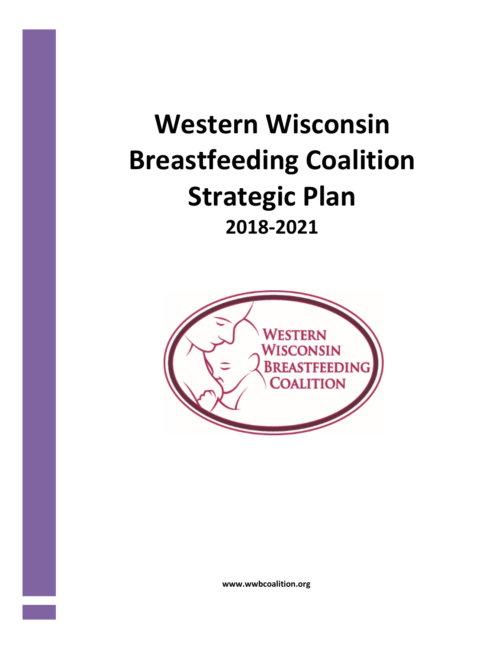# **Western Wisconsin Breastfeeding Coalition Strategic Plan 2018-2021**



**www.wwbcoalition.org**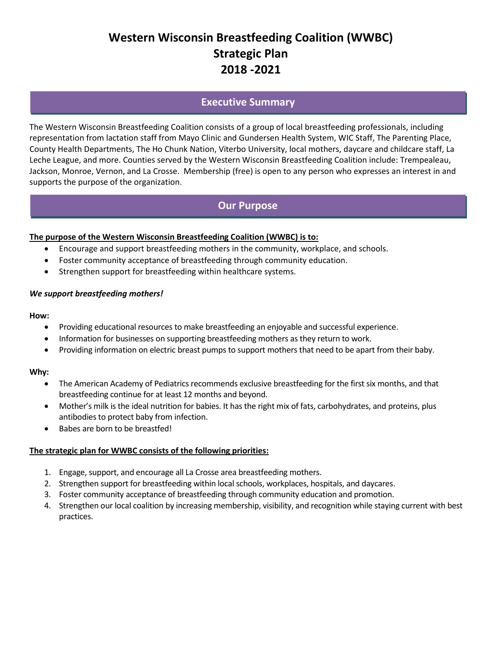# **Western Wisconsin Breastfeeding Coalition (WWBC) Strategic Plan 2018 -2021**

## **Executive Summary**

The Western Wisconsin Breastfeeding Coalition consists of a group of local breastfeeding professionals, including representation from lactation staff from Mayo Clinic and Gundersen Health System, WIC Staff, The Parenting Place, County Health Departments, The Ho Chunk Nation, Viterbo University, local mothers, daycare and childcare staff, La Leche League, and more. Counties served by the Western Wisconsin Breastfeeding Coalition include: Trempealeau, Jackson, Monroe, Vernon, and La Crosse. Membership (free) is open to any person who expresses an interest in and supports the purpose of the organization.

## **Our Purpose**

#### **The purpose of the Western Wisconsin Breastfeeding Coalition (WWBC) is to:**

- Encourage and support breastfeeding mothers in the community, workplace, and schools.
- Foster community acceptance of breastfeeding through community education.
- Strengthen support for breastfeeding within healthcare systems.

#### *We support breastfeeding mothers!*

#### **How:**

- Providing educational resources to make breastfeeding an enjoyable and successful experience.
- Information for businesses on supporting breastfeeding mothers as they return to work.
- Providing information on electric breast pumps to support mothers that need to be apart from their baby.

#### **Why:**

- The American Academy of Pediatrics recommends exclusive breastfeeding for the first six months, and that breastfeeding continue for at least 12 months and beyond.
- Mother's milk is the ideal nutrition for babies. It has the right mix of fats, carbohydrates, and proteins, plus antibodies to protect baby from infection.
- Babes are born to be breastfed!

#### **The strategic plan for WWBC consists of the following priorities:**

- 1. Engage, support, and encourage all La Crosse area breastfeeding mothers.
- 2. Strengthen support for breastfeeding within local schools, workplaces, hospitals, and daycares.
- 3. Foster community acceptance of breastfeeding through community education and promotion.
- 4. Strengthen our local coalition by increasing membership, visibility, and recognition while staying current with best practices.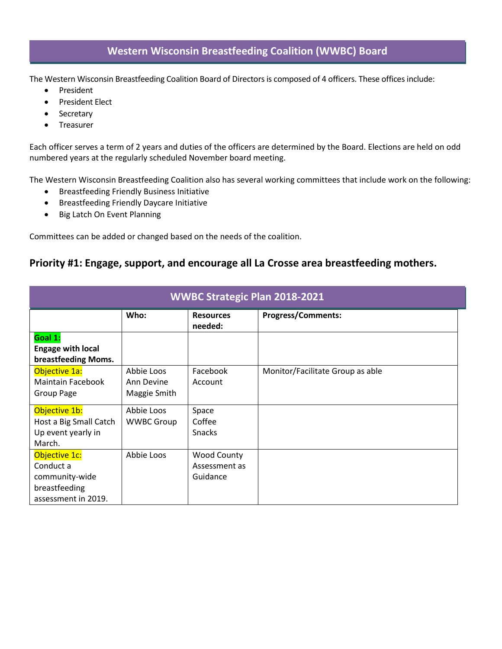## **Western Wisconsin Breastfeeding Coalition (WWBC) Board**

The Western Wisconsin Breastfeeding Coalition Board of Directors is composed of 4 officers. These offices include:

- President
- President Elect
- Secretary
- **•** Treasurer

Each officer serves a term of 2 years and duties of the officers are determined by the Board. Elections are held on odd numbered years at the regularly scheduled November board meeting.

The Western Wisconsin Breastfeeding Coalition also has several working committees that include work on the following:

- **•** Breastfeeding Friendly Business Initiative
- Breastfeeding Friendly Daycare Initiative
- Big Latch On Event Planning

Committees can be added or changed based on the needs of the coalition.

## **Priority #1: Engage, support, and encourage all La Crosse area breastfeeding mothers.**

| WWBC Strategic Plan 2018-2021                                                        |                                          |                                                 |                                  |  |
|--------------------------------------------------------------------------------------|------------------------------------------|-------------------------------------------------|----------------------------------|--|
|                                                                                      | Who:                                     | <b>Resources</b><br>needed:                     | <b>Progress/Comments:</b>        |  |
| Goal 1:<br><b>Engage with local</b><br>breastfeeding Moms.                           |                                          |                                                 |                                  |  |
| Objective 1a:<br><b>Maintain Facebook</b><br>Group Page                              | Abbie Loos<br>Ann Devine<br>Maggie Smith | Facebook<br>Account                             | Monitor/Facilitate Group as able |  |
| Objective 1b:<br>Host a Big Small Catch<br>Up event yearly in<br>March.              | Abbie Loos<br><b>WWBC Group</b>          | Space<br>Coffee<br><b>Snacks</b>                |                                  |  |
| Objective 1c:<br>Conduct a<br>community-wide<br>breastfeeding<br>assessment in 2019. | Abbie Loos                               | <b>Wood County</b><br>Assessment as<br>Guidance |                                  |  |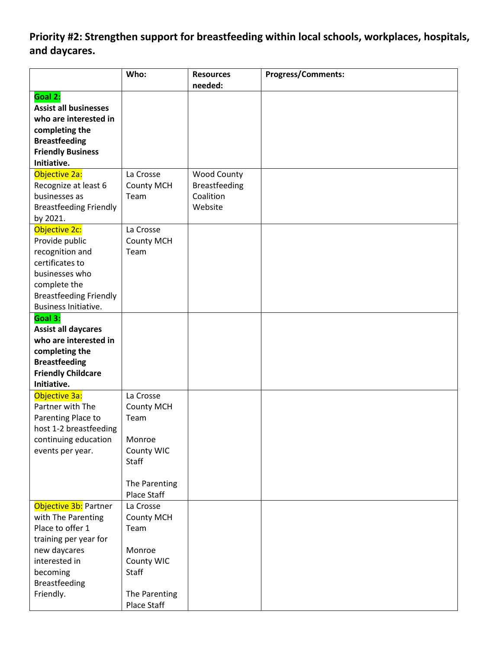**Priority #2: Strengthen support for breastfeeding within local schools, workplaces, hospitals, and daycares.** 

|                                         | Who:                      | <b>Resources</b><br>needed:       | <b>Progress/Comments:</b> |
|-----------------------------------------|---------------------------|-----------------------------------|---------------------------|
| Goal 2:<br><b>Assist all businesses</b> |                           |                                   |                           |
| who are interested in                   |                           |                                   |                           |
| completing the                          |                           |                                   |                           |
| <b>Breastfeeding</b>                    |                           |                                   |                           |
| <b>Friendly Business</b><br>Initiative. |                           |                                   |                           |
|                                         |                           |                                   |                           |
| Objective 2a:                           | La Crosse                 | Wood County                       |                           |
| Recognize at least 6<br>businesses as   | <b>County MCH</b><br>Team | <b>Breastfeeding</b><br>Coalition |                           |
|                                         |                           | Website                           |                           |
| <b>Breastfeeding Friendly</b>           |                           |                                   |                           |
| by 2021.<br>Objective 2c:               | La Crosse                 |                                   |                           |
| Provide public                          | <b>County MCH</b>         |                                   |                           |
| recognition and                         | Team                      |                                   |                           |
| certificates to                         |                           |                                   |                           |
| businesses who                          |                           |                                   |                           |
| complete the                            |                           |                                   |                           |
| <b>Breastfeeding Friendly</b>           |                           |                                   |                           |
| Business Initiative.                    |                           |                                   |                           |
| Goal 3:                                 |                           |                                   |                           |
| <b>Assist all daycares</b>              |                           |                                   |                           |
| who are interested in                   |                           |                                   |                           |
| completing the                          |                           |                                   |                           |
| <b>Breastfeeding</b>                    |                           |                                   |                           |
| <b>Friendly Childcare</b>               |                           |                                   |                           |
| Initiative.                             |                           |                                   |                           |
| Objective 3a:                           | La Crosse                 |                                   |                           |
| Partner with The                        | <b>County MCH</b>         |                                   |                           |
| Parenting Place to                      | Team                      |                                   |                           |
| host 1-2 breastfeeding                  |                           |                                   |                           |
| continuing education                    | Monroe                    |                                   |                           |
| events per year.                        | County WIC                |                                   |                           |
|                                         | Staff                     |                                   |                           |
|                                         |                           |                                   |                           |
|                                         | The Parenting             |                                   |                           |
|                                         | Place Staff               |                                   |                           |
| Objective 3b: Partner                   | La Crosse                 |                                   |                           |
| with The Parenting                      | <b>County MCH</b>         |                                   |                           |
| Place to offer 1                        | Team                      |                                   |                           |
| training per year for                   |                           |                                   |                           |
| new daycares                            | Monroe                    |                                   |                           |
| interested in                           | County WIC                |                                   |                           |
| becoming                                | Staff                     |                                   |                           |
| <b>Breastfeeding</b>                    |                           |                                   |                           |
| Friendly.                               | The Parenting             |                                   |                           |
|                                         | Place Staff               |                                   |                           |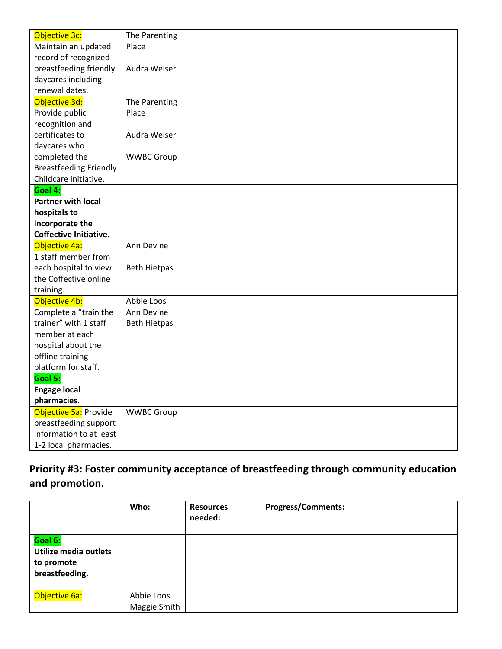| Objective 3c:                 | The Parenting       |  |  |
|-------------------------------|---------------------|--|--|
| Maintain an updated           | Place               |  |  |
| record of recognized          |                     |  |  |
| breastfeeding friendly        | Audra Weiser        |  |  |
| daycares including            |                     |  |  |
| renewal dates.                |                     |  |  |
| Objective 3d:                 | The Parenting       |  |  |
| Provide public                | Place               |  |  |
| recognition and               |                     |  |  |
| certificates to               | Audra Weiser        |  |  |
| daycares who                  |                     |  |  |
| completed the                 | <b>WWBC Group</b>   |  |  |
| <b>Breastfeeding Friendly</b> |                     |  |  |
| Childcare initiative.         |                     |  |  |
| Goal 4:                       |                     |  |  |
| <b>Partner with local</b>     |                     |  |  |
| hospitals to                  |                     |  |  |
| incorporate the               |                     |  |  |
| <b>Coffective Initiative.</b> |                     |  |  |
| Objective 4a:                 | Ann Devine          |  |  |
| 1 staff member from           |                     |  |  |
| each hospital to view         | <b>Beth Hietpas</b> |  |  |
| the Coffective online         |                     |  |  |
| training.                     |                     |  |  |
| Objective 4b:                 | Abbie Loos          |  |  |
| Complete a "train the         | Ann Devine          |  |  |
| trainer" with 1 staff         | <b>Beth Hietpas</b> |  |  |
| member at each                |                     |  |  |
| hospital about the            |                     |  |  |
| offline training              |                     |  |  |
| platform for staff.           |                     |  |  |
| Goal 5:                       |                     |  |  |
| <b>Engage local</b>           |                     |  |  |
| pharmacies.                   |                     |  |  |
| Objective 5a: Provide         | <b>WWBC Group</b>   |  |  |
| breastfeeding support         |                     |  |  |
| information to at least       |                     |  |  |
| 1-2 local pharmacies.         |                     |  |  |

# **Priority #3: Foster community acceptance of breastfeeding through community education and promotion.**

|                                                                  | Who:                       | <b>Resources</b><br>needed: | <b>Progress/Comments:</b> |
|------------------------------------------------------------------|----------------------------|-----------------------------|---------------------------|
| Goal 6:<br>Utilize media outlets<br>to promote<br>breastfeeding. |                            |                             |                           |
| Objective 6a:                                                    | Abbie Loos<br>Maggie Smith |                             |                           |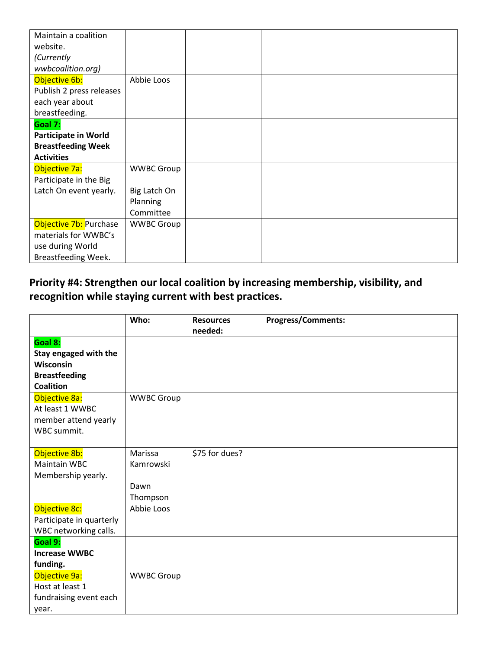| Maintain a coalition        |                   |  |  |
|-----------------------------|-------------------|--|--|
| website.                    |                   |  |  |
| (Currently                  |                   |  |  |
| wwbcoalition.org)           |                   |  |  |
| Objective 6b:               | Abbie Loos        |  |  |
| Publish 2 press releases    |                   |  |  |
| each year about             |                   |  |  |
| breastfeeding.              |                   |  |  |
| Goal 7:                     |                   |  |  |
| <b>Participate in World</b> |                   |  |  |
| <b>Breastfeeding Week</b>   |                   |  |  |
| <b>Activities</b>           |                   |  |  |
| Objective 7a:               | <b>WWBC Group</b> |  |  |
| Participate in the Big      |                   |  |  |
| Latch On event yearly.      | Big Latch On      |  |  |
|                             | Planning          |  |  |
|                             | Committee         |  |  |
| Objective 7b: Purchase      | <b>WWBC Group</b> |  |  |
| materials for WWBC's        |                   |  |  |
| use during World            |                   |  |  |
| Breastfeeding Week.         |                   |  |  |

# **Priority #4: Strengthen our local coalition by increasing membership, visibility, and recognition while staying current with best practices.**

|                                                                                                                                                                             | Who:                                     | <b>Resources</b><br>needed: | <b>Progress/Comments:</b> |
|-----------------------------------------------------------------------------------------------------------------------------------------------------------------------------|------------------------------------------|-----------------------------|---------------------------|
| Goal 8:<br>Stay engaged with the<br><b>Wisconsin</b><br><b>Breastfeeding</b><br><b>Coalition</b><br>Objective 8a:<br>At least 1 WWBC<br>member attend yearly<br>WBC summit. | <b>WWBC Group</b>                        |                             |                           |
| Objective 8b:<br>Maintain WBC<br>Membership yearly.                                                                                                                         | Marissa<br>Kamrowski<br>Dawn<br>Thompson | \$75 for dues?              |                           |
| Objective 8c:<br>Participate in quarterly<br>WBC networking calls.                                                                                                          | Abbie Loos                               |                             |                           |
| Goal 9:<br><b>Increase WWBC</b><br>funding.                                                                                                                                 |                                          |                             |                           |
| Objective 9a:<br>Host at least 1<br>fundraising event each<br>year.                                                                                                         | <b>WWBC Group</b>                        |                             |                           |